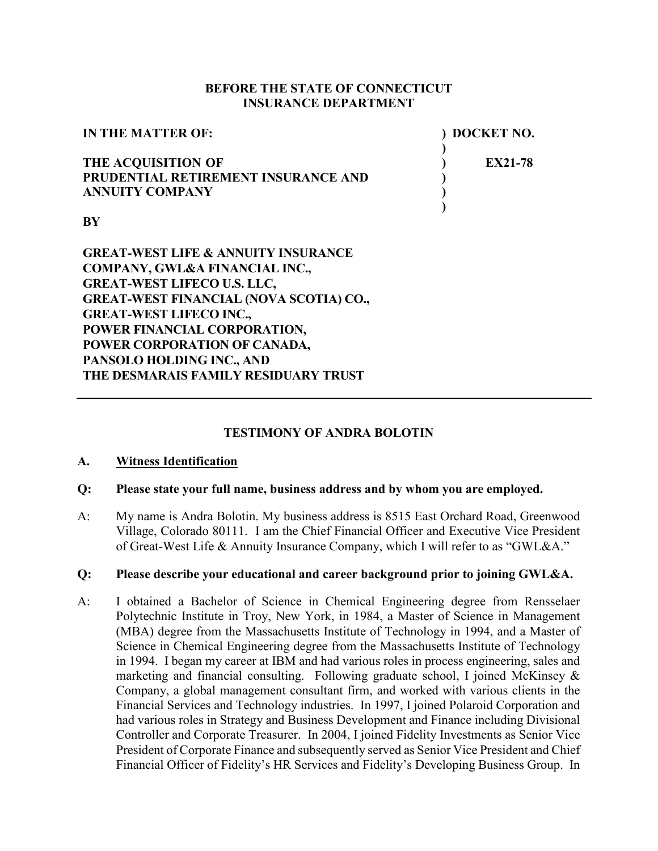#### **BEFORE THE STATE OF CONNECTICUT INSURANCE DEPARTMENT**

| <b>IN THE MATTER OF:</b>            | ) DOCKET NO. |
|-------------------------------------|--------------|
| <b>THE ACQUISITION OF</b>           | EX21-78      |
| PRUDENTIAL RETIREMENT INSURANCE AND |              |
| <b>ANNUITY COMPANY</b>              |              |
|                                     |              |

**BY**

**GREAT-WEST LIFE & ANNUITY INSURANCE COMPANY, GWL&A FINANCIAL INC., GREAT-WEST LIFECO U.S. LLC, GREAT-WEST FINANCIAL (NOVA SCOTIA) CO., GREAT-WEST LIFECO INC., POWER FINANCIAL CORPORATION, POWER CORPORATION OF CANADA, PANSOLO HOLDING INC., AND THE DESMARAIS FAMILY RESIDUARY TRUST**

#### **TESTIMONY OF ANDRA BOLOTIN**

#### **A. Witness Identification**

#### **Q: Please state your full name, business address and by whom you are employed.**

A: My name is Andra Bolotin. My business address is 8515 East Orchard Road, Greenwood Village, Colorado 80111. I am the Chief Financial Officer and Executive Vice President of Great-West Life & Annuity Insurance Company, which I will refer to as "GWL&A."

#### **Q: Please describe your educational and career background prior to joining GWL&A.**

A: I obtained a Bachelor of Science in Chemical Engineering degree from Rensselaer Polytechnic Institute in Troy, New York, in 1984, a Master of Science in Management (MBA) degree from the Massachusetts Institute of Technology in 1994, and a Master of Science in Chemical Engineering degree from the Massachusetts Institute of Technology in 1994. I began my career at IBM and had various roles in process engineering, sales and marketing and financial consulting. Following graduate school, I joined McKinsey & Company, a global management consultant firm, and worked with various clients in the Financial Services and Technology industries. In 1997, I joined Polaroid Corporation and had various roles in Strategy and Business Development and Finance including Divisional Controller and Corporate Treasurer. In 2004, I joined Fidelity Investments as Senior Vice President of Corporate Finance and subsequently served as Senior Vice President and Chief Financial Officer of Fidelity's HR Services and Fidelity's Developing Business Group. In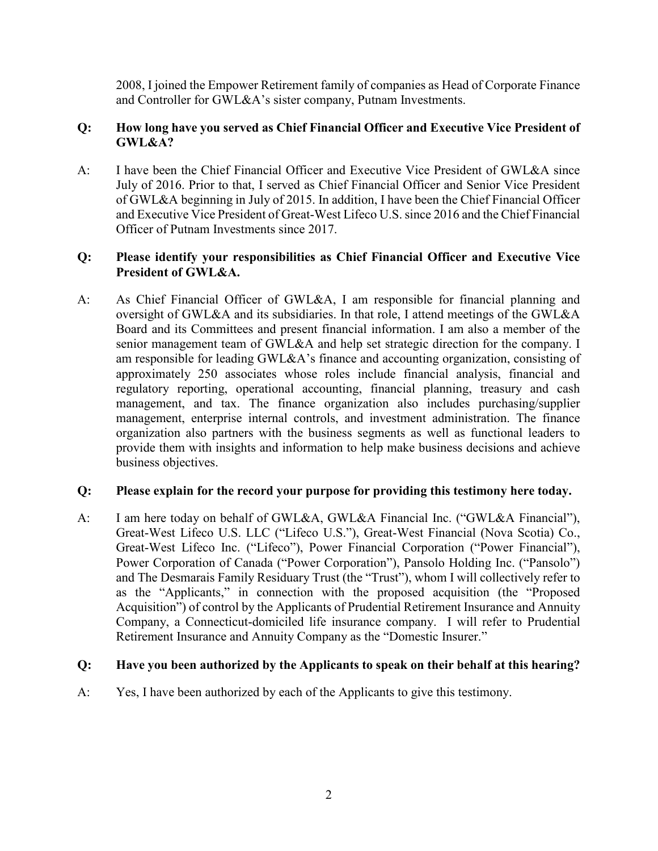2008, I joined the Empower Retirement family of companies as Head of Corporate Finance and Controller for GWL&A's sister company, Putnam Investments.

## **Q: How long have you served as Chief Financial Officer and Executive Vice President of GWL&A?**

A: I have been the Chief Financial Officer and Executive Vice President of GWL&A since July of 2016. Prior to that, I served as Chief Financial Officer and Senior Vice President of GWL&A beginning in July of 2015. In addition, I have been the Chief Financial Officer and Executive Vice President of Great-West Lifeco U.S. since 2016 and the Chief Financial Officer of Putnam Investments since 2017.

# **Q: Please identify your responsibilities as Chief Financial Officer and Executive Vice President of GWL&A.**

A: As Chief Financial Officer of GWL&A, I am responsible for financial planning and oversight of GWL&A and its subsidiaries. In that role, I attend meetings of the GWL&A Board and its Committees and present financial information. I am also a member of the senior management team of GWL&A and help set strategic direction for the company. I am responsible for leading GWL&A's finance and accounting organization, consisting of approximately 250 associates whose roles include financial analysis, financial and regulatory reporting, operational accounting, financial planning, treasury and cash management, and tax. The finance organization also includes purchasing/supplier management, enterprise internal controls, and investment administration. The finance organization also partners with the business segments as well as functional leaders to provide them with insights and information to help make business decisions and achieve business objectives.

#### **Q: Please explain for the record your purpose for providing this testimony here today.**

A: I am here today on behalf of GWL&A, GWL&A Financial Inc. ("GWL&A Financial"), Great-West Lifeco U.S. LLC ("Lifeco U.S."), Great-West Financial (Nova Scotia) Co., Great-West Lifeco Inc. ("Lifeco"), Power Financial Corporation ("Power Financial"), Power Corporation of Canada ("Power Corporation"), Pansolo Holding Inc. ("Pansolo") and The Desmarais Family Residuary Trust (the "Trust"), whom I will collectively refer to as the "Applicants," in connection with the proposed acquisition (the "Proposed Acquisition") of control by the Applicants of Prudential Retirement Insurance and Annuity Company, a Connecticut-domiciled life insurance company. I will refer to Prudential Retirement Insurance and Annuity Company as the "Domestic Insurer."

# **Q: Have you been authorized by the Applicants to speak on their behalf at this hearing?**

A: Yes, I have been authorized by each of the Applicants to give this testimony.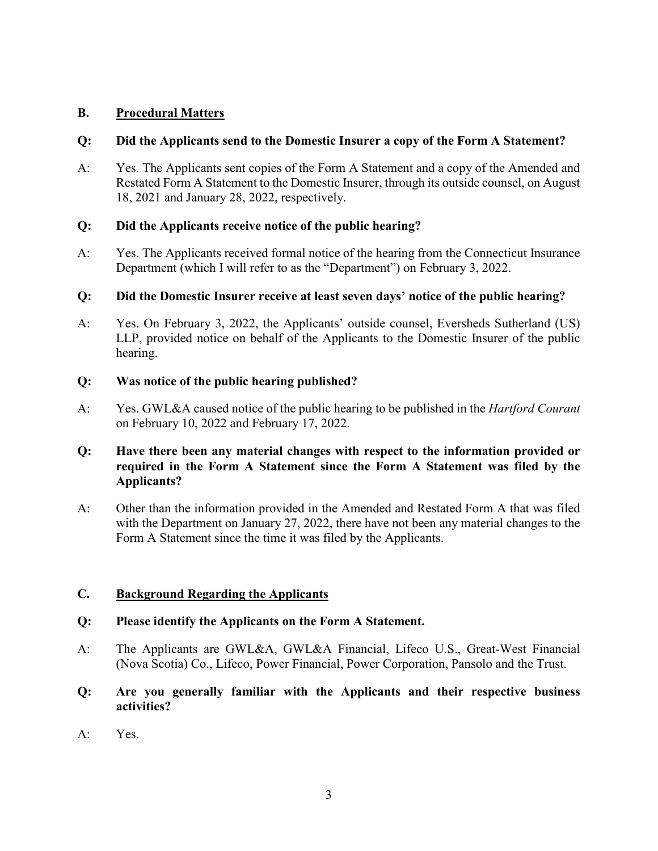# **B. Procedural Matters**

#### **Q: Did the Applicants send to the Domestic Insurer a copy of the Form A Statement?**

A: Yes. The Applicants sent copies of the Form A Statement and a copy of the Amended and Restated Form A Statement to the Domestic Insurer, through its outside counsel, on August 18, 2021 and January 28, 2022, respectively.

## **Q: Did the Applicants receive notice of the public hearing?**

A: Yes. The Applicants received formal notice of the hearing from the Connecticut Insurance Department (which I will refer to as the "Department") on February 3, 2022.

#### **Q: Did the Domestic Insurer receive at least seven days' notice of the public hearing?**

A: Yes. On February 3, 2022, the Applicants' outside counsel, Eversheds Sutherland (US) LLP, provided notice on behalf of the Applicants to the Domestic Insurer of the public hearing.

#### **Q: Was notice of the public hearing published?**

A: Yes. GWL&A caused notice of the public hearing to be published in the *Hartford Courant* on February 10, 2022 and February 17, 2022.

# **Q: Have there been any material changes with respect to the information provided or required in the Form A Statement since the Form A Statement was filed by the Applicants?**

A: Other than the information provided in the Amended and Restated Form A that was filed with the Department on January 27, 2022, there have not been any material changes to the Form A Statement since the time it was filed by the Applicants.

#### **C. Background Regarding the Applicants**

#### **Q: Please identify the Applicants on the Form A Statement.**

- A: The Applicants are GWL&A, GWL&A Financial, Lifeco U.S., Great-West Financial (Nova Scotia) Co., Lifeco, Power Financial, Power Corporation, Pansolo and the Trust.
- **Q: Are you generally familiar with the Applicants and their respective business activities?**
- A: Yes.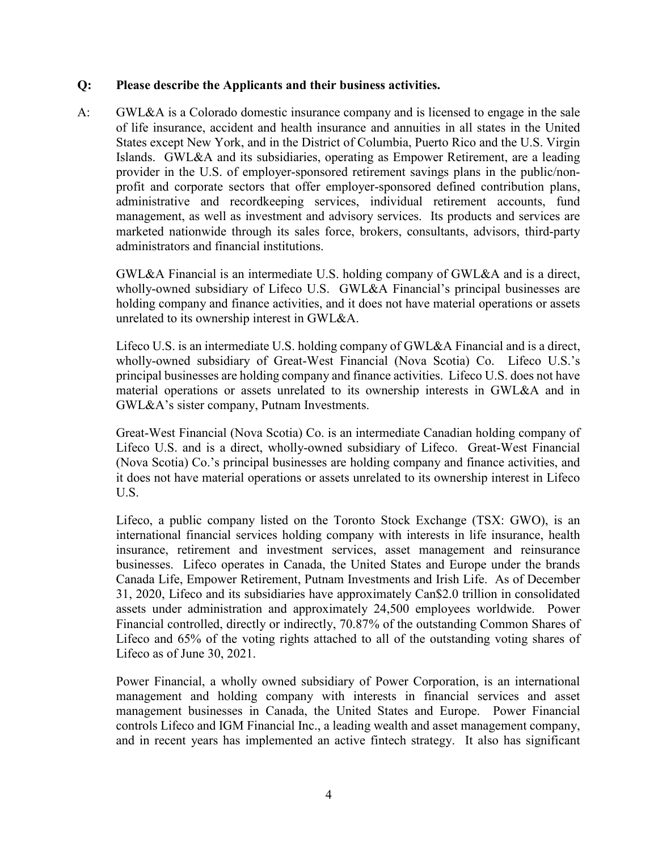#### **Q: Please describe the Applicants and their business activities.**

A: GWL&A is a Colorado domestic insurance company and is licensed to engage in the sale of life insurance, accident and health insurance and annuities in all states in the United States except New York, and in the District of Columbia, Puerto Rico and the U.S. Virgin Islands. GWL&A and its subsidiaries, operating as Empower Retirement, are a leading provider in the U.S. of employer-sponsored retirement savings plans in the public/nonprofit and corporate sectors that offer employer-sponsored defined contribution plans, administrative and recordkeeping services, individual retirement accounts, fund management, as well as investment and advisory services. Its products and services are marketed nationwide through its sales force, brokers, consultants, advisors, third-party administrators and financial institutions.

GWL&A Financial is an intermediate U.S. holding company of GWL&A and is a direct, wholly-owned subsidiary of Lifeco U.S. GWL&A Financial's principal businesses are holding company and finance activities, and it does not have material operations or assets unrelated to its ownership interest in GWL&A.

Lifeco U.S. is an intermediate U.S. holding company of GWL&A Financial and is a direct, wholly-owned subsidiary of Great-West Financial (Nova Scotia) Co. Lifeco U.S.'s principal businesses are holding company and finance activities. Lifeco U.S. does not have material operations or assets unrelated to its ownership interests in GWL&A and in GWL&A's sister company, Putnam Investments.

Great-West Financial (Nova Scotia) Co. is an intermediate Canadian holding company of Lifeco U.S. and is a direct, wholly-owned subsidiary of Lifeco. Great-West Financial (Nova Scotia) Co.'s principal businesses are holding company and finance activities, and it does not have material operations or assets unrelated to its ownership interest in Lifeco U.S.

Lifeco, a public company listed on the Toronto Stock Exchange (TSX: GWO), is an international financial services holding company with interests in life insurance, health insurance, retirement and investment services, asset management and reinsurance businesses. Lifeco operates in Canada, the United States and Europe under the brands Canada Life, Empower Retirement, Putnam Investments and Irish Life. As of December 31, 2020, Lifeco and its subsidiaries have approximately Can\$2.0 trillion in consolidated assets under administration and approximately 24,500 employees worldwide. Power Financial controlled, directly or indirectly, 70.87% of the outstanding Common Shares of Lifeco and 65% of the voting rights attached to all of the outstanding voting shares of Lifeco as of June 30, 2021.

Power Financial, a wholly owned subsidiary of Power Corporation, is an international management and holding company with interests in financial services and asset management businesses in Canada, the United States and Europe. Power Financial controls Lifeco and IGM Financial Inc., a leading wealth and asset management company, and in recent years has implemented an active fintech strategy. It also has significant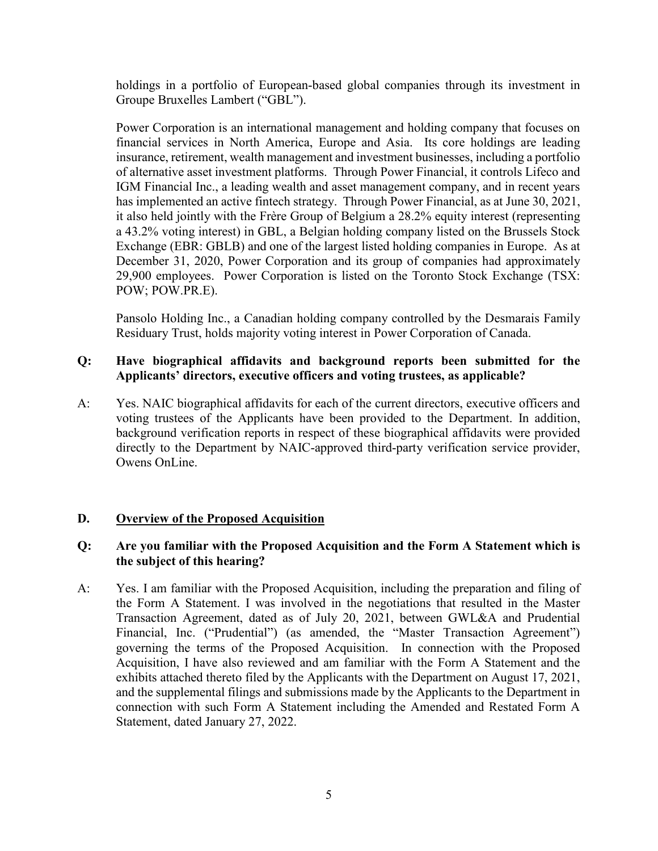holdings in a portfolio of European-based global companies through its investment in Groupe Bruxelles Lambert ("GBL").

Power Corporation is an international management and holding company that focuses on financial services in North America, Europe and Asia. Its core holdings are leading insurance, retirement, wealth management and investment businesses, including a portfolio of alternative asset investment platforms. Through Power Financial, it controls Lifeco and IGM Financial Inc., a leading wealth and asset management company, and in recent years has implemented an active fintech strategy. Through Power Financial, as at June 30, 2021, it also held jointly with the Frère Group of Belgium a 28.2% equity interest (representing a 43.2% voting interest) in GBL, a Belgian holding company listed on the Brussels Stock Exchange (EBR: GBLB) and one of the largest listed holding companies in Europe. As at December 31, 2020, Power Corporation and its group of companies had approximately 29,900 employees. Power Corporation is listed on the Toronto Stock Exchange (TSX: POW; POW.PR.E).

Pansolo Holding Inc., a Canadian holding company controlled by the Desmarais Family Residuary Trust, holds majority voting interest in Power Corporation of Canada.

# **Q: Have biographical affidavits and background reports been submitted for the Applicants' directors, executive officers and voting trustees, as applicable?**

A: Yes. NAIC biographical affidavits for each of the current directors, executive officers and voting trustees of the Applicants have been provided to the Department. In addition, background verification reports in respect of these biographical affidavits were provided directly to the Department by NAIC-approved third-party verification service provider, Owens OnLine.

# **D. Overview of the Proposed Acquisition**

## **Q: Are you familiar with the Proposed Acquisition and the Form A Statement which is the subject of this hearing?**

A: Yes. I am familiar with the Proposed Acquisition, including the preparation and filing of the Form A Statement. I was involved in the negotiations that resulted in the Master Transaction Agreement, dated as of July 20, 2021, between GWL&A and Prudential Financial, Inc. ("Prudential") (as amended, the "Master Transaction Agreement") governing the terms of the Proposed Acquisition. In connection with the Proposed Acquisition, I have also reviewed and am familiar with the Form A Statement and the exhibits attached thereto filed by the Applicants with the Department on August 17, 2021, and the supplemental filings and submissions made by the Applicants to the Department in connection with such Form A Statement including the Amended and Restated Form A Statement, dated January 27, 2022.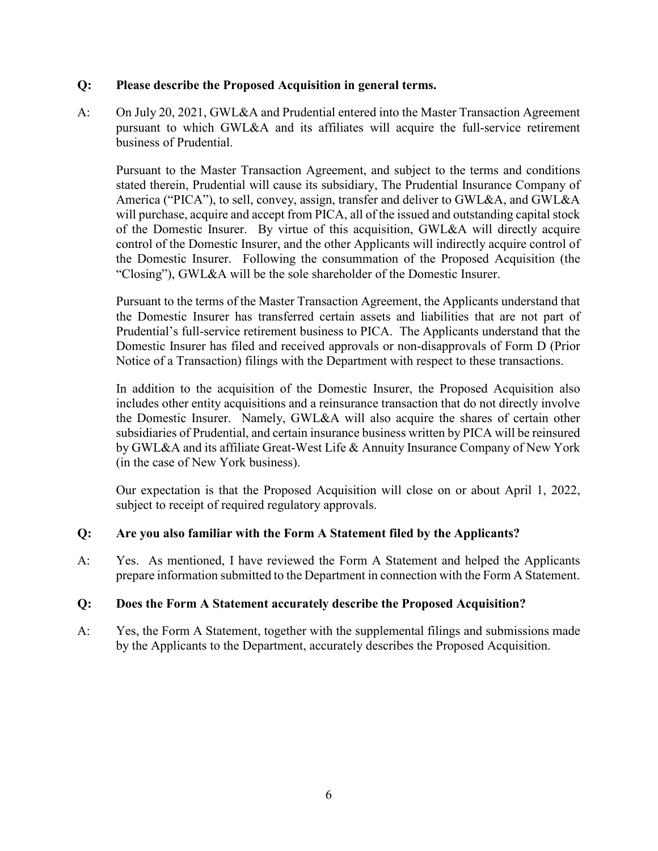### **Q: Please describe the Proposed Acquisition in general terms.**

A: On July 20, 2021, GWL&A and Prudential entered into the Master Transaction Agreement pursuant to which GWL&A and its affiliates will acquire the full-service retirement business of Prudential.

Pursuant to the Master Transaction Agreement, and subject to the terms and conditions stated therein, Prudential will cause its subsidiary, The Prudential Insurance Company of America ("PICA"), to sell, convey, assign, transfer and deliver to GWL&A, and GWL&A will purchase, acquire and accept from PICA, all of the issued and outstanding capital stock of the Domestic Insurer. By virtue of this acquisition, GWL&A will directly acquire control of the Domestic Insurer, and the other Applicants will indirectly acquire control of the Domestic Insurer. Following the consummation of the Proposed Acquisition (the "Closing"), GWL&A will be the sole shareholder of the Domestic Insurer.

Pursuant to the terms of the Master Transaction Agreement, the Applicants understand that the Domestic Insurer has transferred certain assets and liabilities that are not part of Prudential's full-service retirement business to PICA. The Applicants understand that the Domestic Insurer has filed and received approvals or non-disapprovals of Form D (Prior Notice of a Transaction) filings with the Department with respect to these transactions.

In addition to the acquisition of the Domestic Insurer, the Proposed Acquisition also includes other entity acquisitions and a reinsurance transaction that do not directly involve the Domestic Insurer. Namely, GWL&A will also acquire the shares of certain other subsidiaries of Prudential, and certain insurance business written by PICA will be reinsured by GWL&A and its affiliate Great-West Life & Annuity Insurance Company of New York (in the case of New York business).

Our expectation is that the Proposed Acquisition will close on or about April 1, 2022, subject to receipt of required regulatory approvals.

# **Q: Are you also familiar with the Form A Statement filed by the Applicants?**

A: Yes. As mentioned, I have reviewed the Form A Statement and helped the Applicants prepare information submitted to the Department in connection with the Form A Statement.

# **Q: Does the Form A Statement accurately describe the Proposed Acquisition?**

A: Yes, the Form A Statement, together with the supplemental filings and submissions made by the Applicants to the Department, accurately describes the Proposed Acquisition.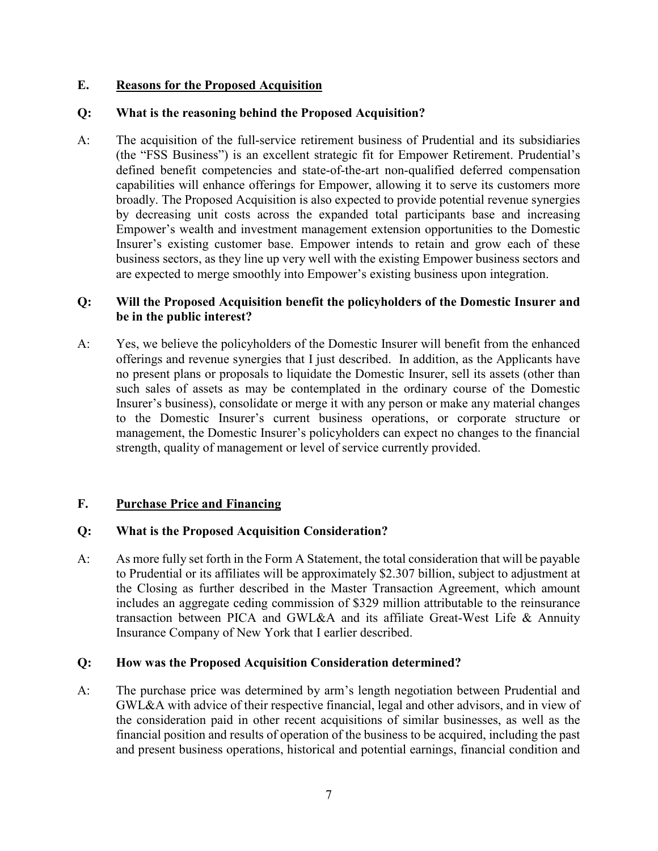### **E. Reasons for the Proposed Acquisition**

## **Q: What is the reasoning behind the Proposed Acquisition?**

A: The acquisition of the full-service retirement business of Prudential and its subsidiaries (the "FSS Business") is an excellent strategic fit for Empower Retirement. Prudential's defined benefit competencies and state-of-the-art non-qualified deferred compensation capabilities will enhance offerings for Empower, allowing it to serve its customers more broadly. The Proposed Acquisition is also expected to provide potential revenue synergies by decreasing unit costs across the expanded total participants base and increasing Empower's wealth and investment management extension opportunities to the Domestic Insurer's existing customer base. Empower intends to retain and grow each of these business sectors, as they line up very well with the existing Empower business sectors and are expected to merge smoothly into Empower's existing business upon integration.

### **Q: Will the Proposed Acquisition benefit the policyholders of the Domestic Insurer and be in the public interest?**

A: Yes, we believe the policyholders of the Domestic Insurer will benefit from the enhanced offerings and revenue synergies that I just described. In addition, as the Applicants have no present plans or proposals to liquidate the Domestic Insurer, sell its assets (other than such sales of assets as may be contemplated in the ordinary course of the Domestic Insurer's business), consolidate or merge it with any person or make any material changes to the Domestic Insurer's current business operations, or corporate structure or management, the Domestic Insurer's policyholders can expect no changes to the financial strength, quality of management or level of service currently provided.

# **F. Purchase Price and Financing**

#### **Q: What is the Proposed Acquisition Consideration?**

A: As more fully set forth in the Form A Statement, the total consideration that will be payable to Prudential or its affiliates will be approximately \$2.307 billion, subject to adjustment at the Closing as further described in the Master Transaction Agreement, which amount includes an aggregate ceding commission of \$329 million attributable to the reinsurance transaction between PICA and GWL&A and its affiliate Great-West Life & Annuity Insurance Company of New York that I earlier described.

#### **Q: How was the Proposed Acquisition Consideration determined?**

A: The purchase price was determined by arm's length negotiation between Prudential and GWL&A with advice of their respective financial, legal and other advisors, and in view of the consideration paid in other recent acquisitions of similar businesses, as well as the financial position and results of operation of the business to be acquired, including the past and present business operations, historical and potential earnings, financial condition and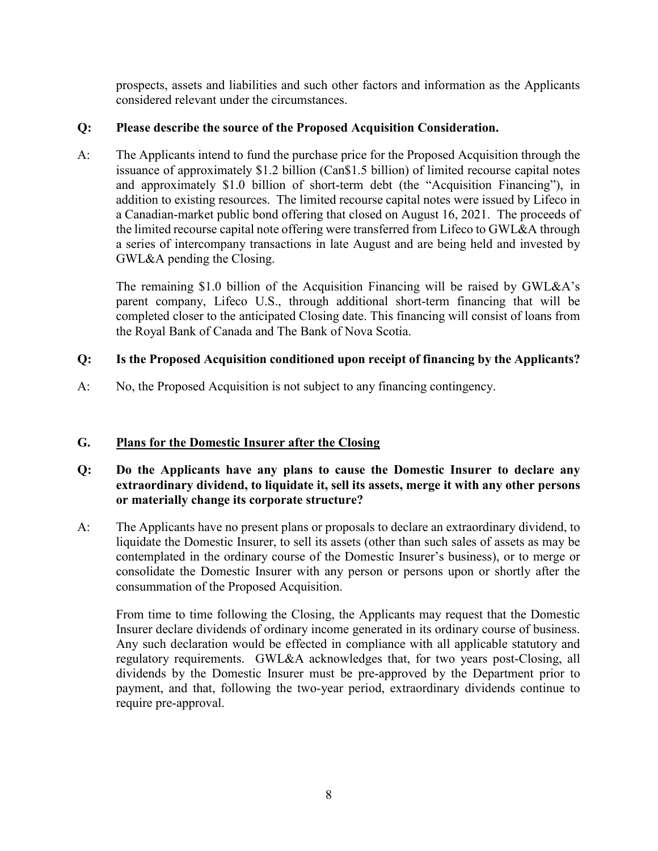prospects, assets and liabilities and such other factors and information as the Applicants considered relevant under the circumstances.

# **Q: Please describe the source of the Proposed Acquisition Consideration.**

A: The Applicants intend to fund the purchase price for the Proposed Acquisition through the issuance of approximately \$1.2 billion (Can\$1.5 billion) of limited recourse capital notes and approximately \$1.0 billion of short-term debt (the "Acquisition Financing"), in addition to existing resources. The limited recourse capital notes were issued by Lifeco in a Canadian-market public bond offering that closed on August 16, 2021. The proceeds of the limited recourse capital note offering were transferred from Lifeco to GWL&A through a series of intercompany transactions in late August and are being held and invested by GWL&A pending the Closing.

The remaining \$1.0 billion of the Acquisition Financing will be raised by GWL&A's parent company, Lifeco U.S., through additional short-term financing that will be completed closer to the anticipated Closing date. This financing will consist of loans from the Royal Bank of Canada and The Bank of Nova Scotia.

# **Q: Is the Proposed Acquisition conditioned upon receipt of financing by the Applicants?**

A: No, the Proposed Acquisition is not subject to any financing contingency.

# **G. Plans for the Domestic Insurer after the Closing**

- **Q: Do the Applicants have any plans to cause the Domestic Insurer to declare any extraordinary dividend, to liquidate it, sell its assets, merge it with any other persons or materially change its corporate structure?**
- A: The Applicants have no present plans or proposals to declare an extraordinary dividend, to liquidate the Domestic Insurer, to sell its assets (other than such sales of assets as may be contemplated in the ordinary course of the Domestic Insurer's business), or to merge or consolidate the Domestic Insurer with any person or persons upon or shortly after the consummation of the Proposed Acquisition.

From time to time following the Closing, the Applicants may request that the Domestic Insurer declare dividends of ordinary income generated in its ordinary course of business. Any such declaration would be effected in compliance with all applicable statutory and regulatory requirements. GWL&A acknowledges that, for two years post-Closing, all dividends by the Domestic Insurer must be pre-approved by the Department prior to payment, and that, following the two-year period, extraordinary dividends continue to require pre-approval.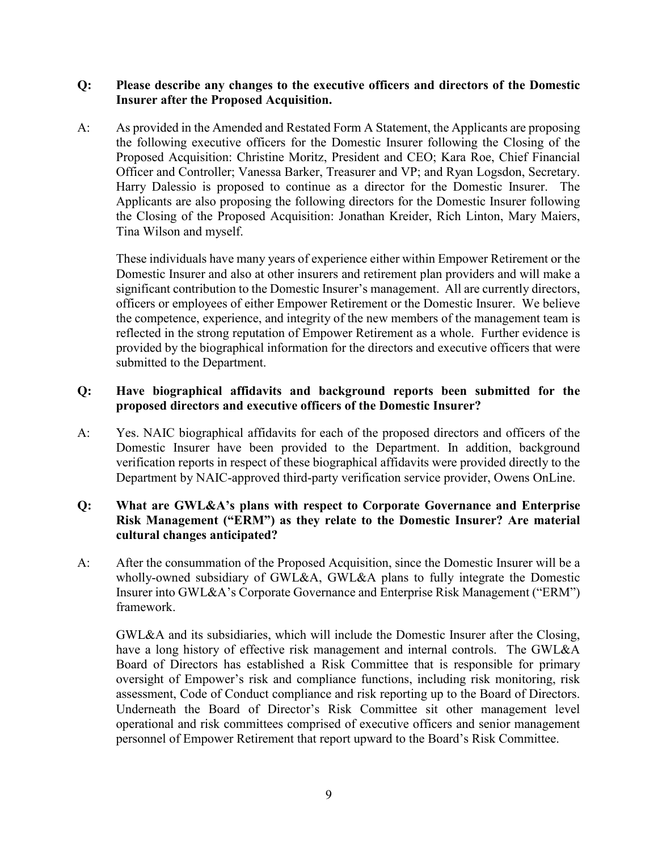### **Q: Please describe any changes to the executive officers and directors of the Domestic Insurer after the Proposed Acquisition.**

A: As provided in the Amended and Restated Form A Statement, the Applicants are proposing the following executive officers for the Domestic Insurer following the Closing of the Proposed Acquisition: Christine Moritz, President and CEO; Kara Roe, Chief Financial Officer and Controller; Vanessa Barker, Treasurer and VP; and Ryan Logsdon, Secretary. Harry Dalessio is proposed to continue as a director for the Domestic Insurer. The Applicants are also proposing the following directors for the Domestic Insurer following the Closing of the Proposed Acquisition: Jonathan Kreider, Rich Linton, Mary Maiers, Tina Wilson and myself.

These individuals have many years of experience either within Empower Retirement or the Domestic Insurer and also at other insurers and retirement plan providers and will make a significant contribution to the Domestic Insurer's management. All are currently directors, officers or employees of either Empower Retirement or the Domestic Insurer. We believe the competence, experience, and integrity of the new members of the management team is reflected in the strong reputation of Empower Retirement as a whole. Further evidence is provided by the biographical information for the directors and executive officers that were submitted to the Department.

## **Q: Have biographical affidavits and background reports been submitted for the proposed directors and executive officers of the Domestic Insurer?**

A: Yes. NAIC biographical affidavits for each of the proposed directors and officers of the Domestic Insurer have been provided to the Department. In addition, background verification reports in respect of these biographical affidavits were provided directly to the Department by NAIC-approved third-party verification service provider, Owens OnLine.

# **Q: What are GWL&A's plans with respect to Corporate Governance and Enterprise Risk Management ("ERM") as they relate to the Domestic Insurer? Are material cultural changes anticipated?**

A: After the consummation of the Proposed Acquisition, since the Domestic Insurer will be a wholly-owned subsidiary of GWL&A, GWL&A plans to fully integrate the Domestic Insurer into GWL&A's Corporate Governance and Enterprise Risk Management ("ERM") framework.

GWL&A and its subsidiaries, which will include the Domestic Insurer after the Closing, have a long history of effective risk management and internal controls. The GWL&A Board of Directors has established a Risk Committee that is responsible for primary oversight of Empower's risk and compliance functions, including risk monitoring, risk assessment, Code of Conduct compliance and risk reporting up to the Board of Directors. Underneath the Board of Director's Risk Committee sit other management level operational and risk committees comprised of executive officers and senior management personnel of Empower Retirement that report upward to the Board's Risk Committee.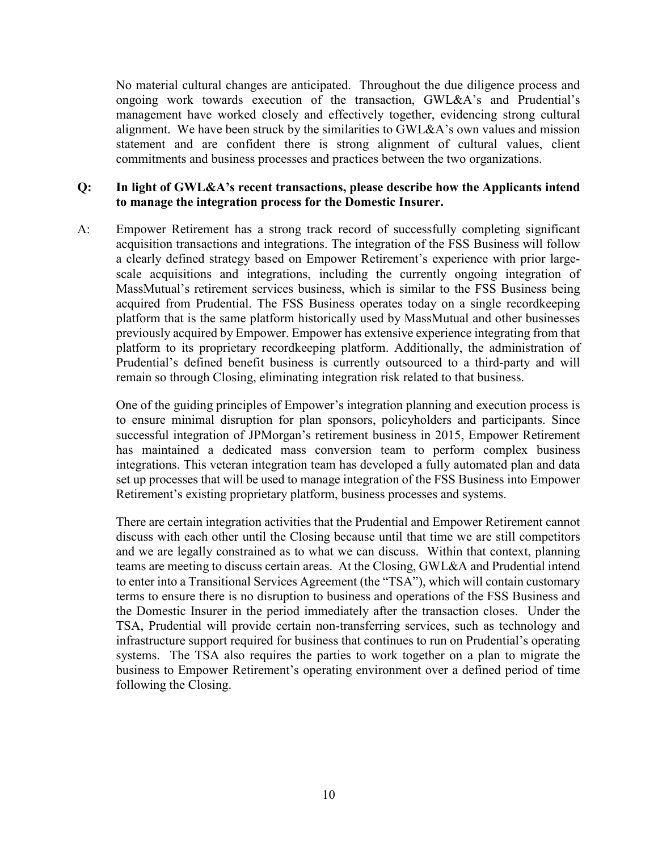No material cultural changes are anticipated. Throughout the due diligence process and ongoing work towards execution of the transaction, GWL&A's and Prudential's management have worked closely and effectively together, evidencing strong cultural alignment. We have been struck by the similarities to GWL&A's own values and mission statement and are confident there is strong alignment of cultural values, client commitments and business processes and practices between the two organizations.

## **Q: In light of GWL&A's recent transactions, please describe how the Applicants intend to manage the integration process for the Domestic Insurer.**

A: Empower Retirement has a strong track record of successfully completing significant acquisition transactions and integrations. The integration of the FSS Business will follow a clearly defined strategy based on Empower Retirement's experience with prior largescale acquisitions and integrations, including the currently ongoing integration of MassMutual's retirement services business, which is similar to the FSS Business being acquired from Prudential. The FSS Business operates today on a single recordkeeping platform that is the same platform historically used by MassMutual and other businesses previously acquired by Empower. Empower has extensive experience integrating from that platform to its proprietary recordkeeping platform. Additionally, the administration of Prudential's defined benefit business is currently outsourced to a third-party and will remain so through Closing, eliminating integration risk related to that business.

One of the guiding principles of Empower's integration planning and execution process is to ensure minimal disruption for plan sponsors, policyholders and participants. Since successful integration of JPMorgan's retirement business in 2015, Empower Retirement has maintained a dedicated mass conversion team to perform complex business integrations. This veteran integration team has developed a fully automated plan and data set up processes that will be used to manage integration of the FSS Business into Empower Retirement's existing proprietary platform, business processes and systems.

There are certain integration activities that the Prudential and Empower Retirement cannot discuss with each other until the Closing because until that time we are still competitors and we are legally constrained as to what we can discuss. Within that context, planning teams are meeting to discuss certain areas. At the Closing, GWL&A and Prudential intend to enter into a Transitional Services Agreement (the "TSA"), which will contain customary terms to ensure there is no disruption to business and operations of the FSS Business and the Domestic Insurer in the period immediately after the transaction closes. Under the TSA, Prudential will provide certain non-transferring services, such as technology and infrastructure support required for business that continues to run on Prudential's operating systems. The TSA also requires the parties to work together on a plan to migrate the business to Empower Retirement's operating environment over a defined period of time following the Closing.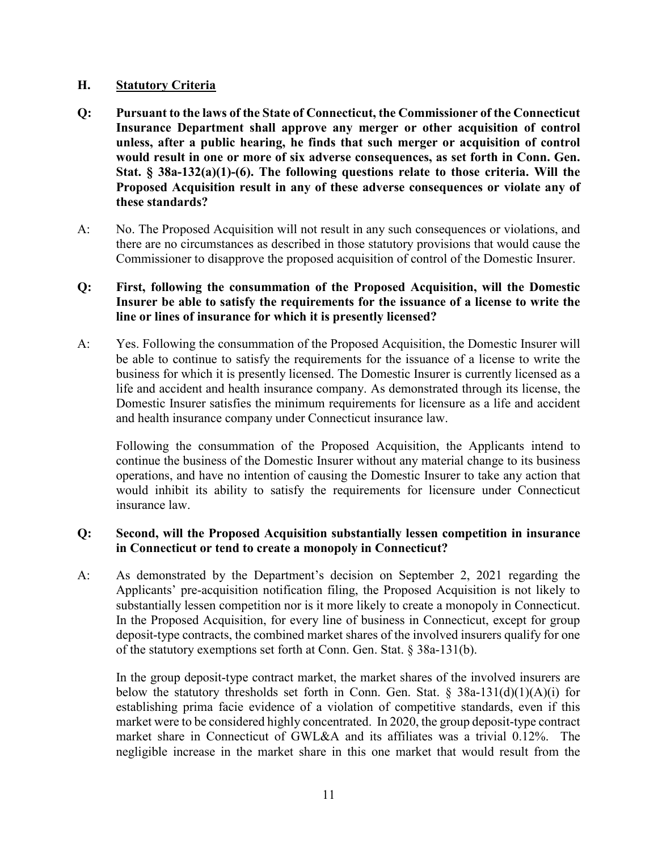### **H. Statutory Criteria**

- **Q: Pursuant to the laws of the State of Connecticut, the Commissioner of the Connecticut Insurance Department shall approve any merger or other acquisition of control unless, after a public hearing, he finds that such merger or acquisition of control would result in one or more of six adverse consequences, as set forth in Conn. Gen. Stat. § 38a-132(a)(1)-(6). The following questions relate to those criteria. Will the Proposed Acquisition result in any of these adverse consequences or violate any of these standards?**
- A: No. The Proposed Acquisition will not result in any such consequences or violations, and there are no circumstances as described in those statutory provisions that would cause the Commissioner to disapprove the proposed acquisition of control of the Domestic Insurer.

# **Q: First, following the consummation of the Proposed Acquisition, will the Domestic Insurer be able to satisfy the requirements for the issuance of a license to write the line or lines of insurance for which it is presently licensed?**

A: Yes. Following the consummation of the Proposed Acquisition, the Domestic Insurer will be able to continue to satisfy the requirements for the issuance of a license to write the business for which it is presently licensed. The Domestic Insurer is currently licensed as a life and accident and health insurance company. As demonstrated through its license, the Domestic Insurer satisfies the minimum requirements for licensure as a life and accident and health insurance company under Connecticut insurance law.

Following the consummation of the Proposed Acquisition, the Applicants intend to continue the business of the Domestic Insurer without any material change to its business operations, and have no intention of causing the Domestic Insurer to take any action that would inhibit its ability to satisfy the requirements for licensure under Connecticut insurance law.

## **Q: Second, will the Proposed Acquisition substantially lessen competition in insurance in Connecticut or tend to create a monopoly in Connecticut?**

A: As demonstrated by the Department's decision on September 2, 2021 regarding the Applicants' pre-acquisition notification filing, the Proposed Acquisition is not likely to substantially lessen competition nor is it more likely to create a monopoly in Connecticut. In the Proposed Acquisition, for every line of business in Connecticut, except for group deposit-type contracts, the combined market shares of the involved insurers qualify for one of the statutory exemptions set forth at Conn. Gen. Stat. § 38a-131(b).

In the group deposit-type contract market, the market shares of the involved insurers are below the statutory thresholds set forth in Conn. Gen. Stat. § 38a-131(d)(1)(A)(i) for establishing prima facie evidence of a violation of competitive standards, even if this market were to be considered highly concentrated. In 2020, the group deposit-type contract market share in Connecticut of GWL&A and its affiliates was a trivial 0.12%. The negligible increase in the market share in this one market that would result from the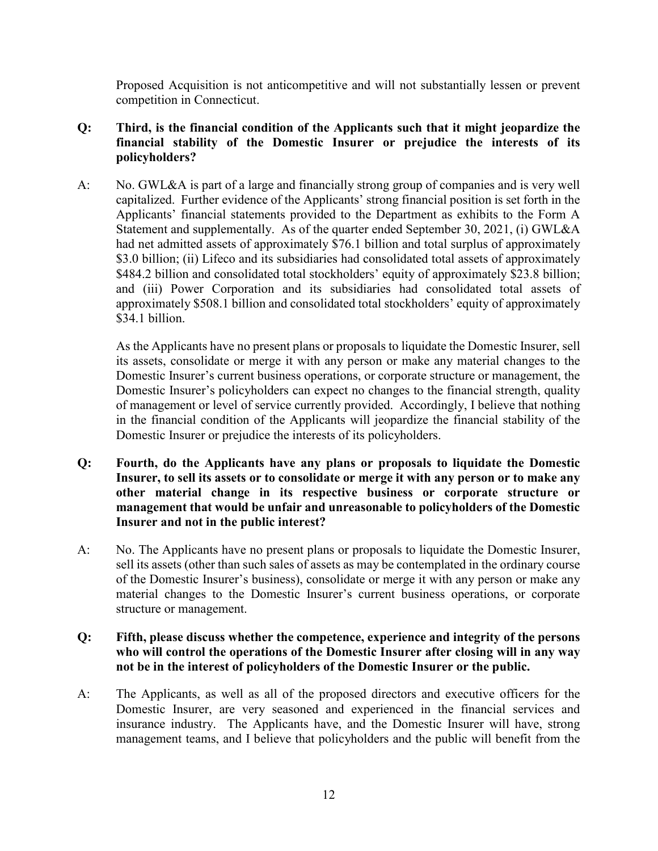Proposed Acquisition is not anticompetitive and will not substantially lessen or prevent competition in Connecticut.

- **Q: Third, is the financial condition of the Applicants such that it might jeopardize the financial stability of the Domestic Insurer or prejudice the interests of its policyholders?**
- A: No. GWL&A is part of a large and financially strong group of companies and is very well capitalized. Further evidence of the Applicants' strong financial position is set forth in the Applicants' financial statements provided to the Department as exhibits to the Form A Statement and supplementally. As of the quarter ended September 30, 2021, (i) GWL&A had net admitted assets of approximately \$76.1 billion and total surplus of approximately \$3.0 billion; (ii) Lifeco and its subsidiaries had consolidated total assets of approximately \$484.2 billion and consolidated total stockholders' equity of approximately \$23.8 billion; and (iii) Power Corporation and its subsidiaries had consolidated total assets of approximately \$508.1 billion and consolidated total stockholders' equity of approximately \$34.1 billion.

As the Applicants have no present plans or proposals to liquidate the Domestic Insurer, sell its assets, consolidate or merge it with any person or make any material changes to the Domestic Insurer's current business operations, or corporate structure or management, the Domestic Insurer's policyholders can expect no changes to the financial strength, quality of management or level of service currently provided. Accordingly, I believe that nothing in the financial condition of the Applicants will jeopardize the financial stability of the Domestic Insurer or prejudice the interests of its policyholders.

- **Q: Fourth, do the Applicants have any plans or proposals to liquidate the Domestic Insurer, to sell its assets or to consolidate or merge it with any person or to make any other material change in its respective business or corporate structure or management that would be unfair and unreasonable to policyholders of the Domestic Insurer and not in the public interest?**
- A: No. The Applicants have no present plans or proposals to liquidate the Domestic Insurer, sell its assets (other than such sales of assets as may be contemplated in the ordinary course of the Domestic Insurer's business), consolidate or merge it with any person or make any material changes to the Domestic Insurer's current business operations, or corporate structure or management.

#### **Q: Fifth, please discuss whether the competence, experience and integrity of the persons who will control the operations of the Domestic Insurer after closing will in any way not be in the interest of policyholders of the Domestic Insurer or the public.**

A: The Applicants, as well as all of the proposed directors and executive officers for the Domestic Insurer, are very seasoned and experienced in the financial services and insurance industry. The Applicants have, and the Domestic Insurer will have, strong management teams, and I believe that policyholders and the public will benefit from the